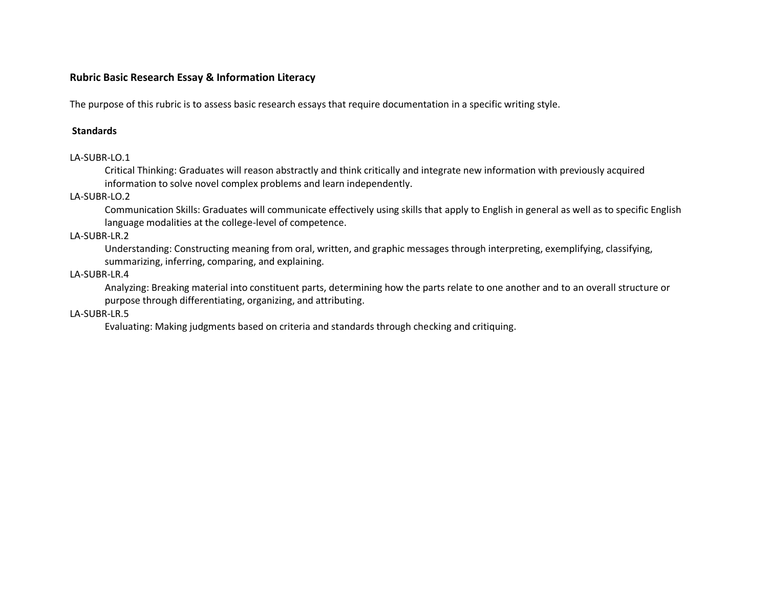# **Rubric Basic Research Essay & Information Literacy**

The purpose of this rubric is to assess basic research essays that require documentation in a specific writing style.

#### **Standards**

## LA-SUBR-LO.1

Critical Thinking: Graduates will reason abstractly and think critically and integrate new information with previously acquired information to solve novel complex problems and learn independently.

## LA-SUBR-LO.2

Communication Skills: Graduates will communicate effectively using skills that apply to English in general as well as to specific English language modalities at the college-level of competence.

## LA-SUBR-LR.2

Understanding: Constructing meaning from oral, written, and graphic messages through interpreting, exemplifying, classifying, summarizing, inferring, comparing, and explaining.

## LA-SUBR-LR.4

Analyzing: Breaking material into constituent parts, determining how the parts relate to one another and to an overall structure or purpose through differentiating, organizing, and attributing.

#### LA-SUBR-LR.5

Evaluating: Making judgments based on criteria and standards through checking and critiquing.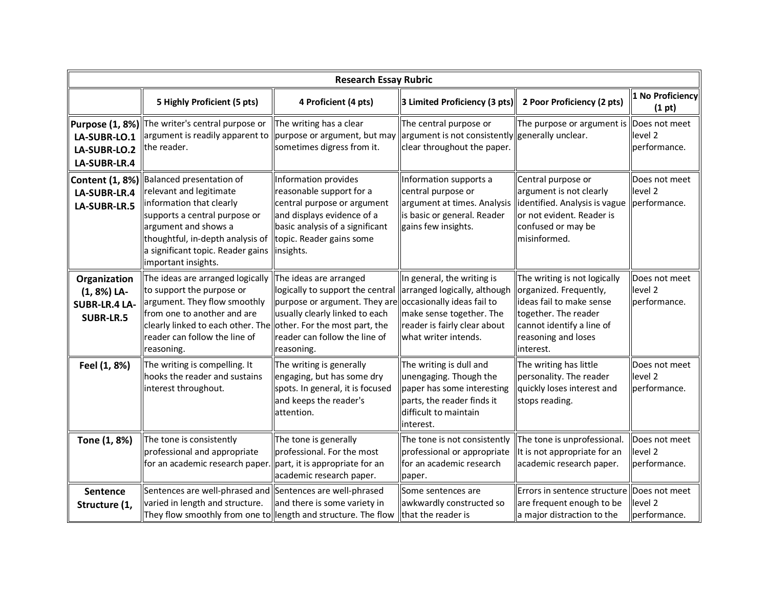| <b>Research Essay Rubric</b>                                            |                                                                                                                                                                                                                                                |                                                                                                                                                                                           |                                                                                                                                                                              |                                                                                                                                                                             |                                                     |  |  |
|-------------------------------------------------------------------------|------------------------------------------------------------------------------------------------------------------------------------------------------------------------------------------------------------------------------------------------|-------------------------------------------------------------------------------------------------------------------------------------------------------------------------------------------|------------------------------------------------------------------------------------------------------------------------------------------------------------------------------|-----------------------------------------------------------------------------------------------------------------------------------------------------------------------------|-----------------------------------------------------|--|--|
|                                                                         | 5 Highly Proficient (5 pts)                                                                                                                                                                                                                    | 4 Proficient (4 pts)                                                                                                                                                                      | 3 Limited Proficiency (3 pts)                                                                                                                                                | 2 Poor Proficiency (2 pts)                                                                                                                                                  | 1 No Proficiency<br>(1 pt)                          |  |  |
| LA-SUBR-LO.1<br>LA-SUBR-LO.2<br>LA-SUBR-LR.4                            | Purpose (1, 8%) The writer's central purpose or<br>$\alpha$ argument is readily apparent to $\beta$ purpose or argument, but may<br>the reader.                                                                                                | The writing has a clear<br>sometimes digress from it.                                                                                                                                     | The central purpose or<br>argument is not consistently generally unclear.<br>clear throughout the paper.                                                                     | The purpose or argument is Does not meet                                                                                                                                    | level 2<br>performance.                             |  |  |
| <b>Content (1, 8%)</b><br>LA-SUBR-LR.4<br>LA-SUBR-LR.5                  | Balanced presentation of<br>relevant and legitimate<br>information that clearly<br>supports a central purpose or<br>argument and shows a<br>thoughtful, in-depth analysis of<br>a significant topic. Reader gains<br>limportant insights.      | Information provides<br>reasonable support for a<br>central purpose or argument<br>and displays evidence of a<br>basic analysis of a significant<br>topic. Reader gains some<br>insights. | Information supports a<br>central purpose or<br>argument at times. Analysis<br>is basic or general. Reader<br>gains few insights.                                            | Central purpose or<br>argument is not clearly<br>ldentified. Analysis is vague<br>or not evident. Reader is<br>confused or may be<br>misinformed.                           | Does not meet<br>level <sub>2</sub><br>performance. |  |  |
| Organization<br>(1, 8%) LA-<br><b>SUBR-LR.4 LA-</b><br><b>SUBR-LR.5</b> | The ideas are arranged logically<br>to support the purpose or<br>argument. They flow smoothly<br>from one to another and are<br>clearly linked to each other. The other. For the most part, the<br>reader can follow the line of<br>reasoning. | The ideas are arranged<br>logically to support the central<br>purpose or argument. They are<br>usually clearly linked to each<br>reader can follow the line of<br>reasoning.              | In general, the writing is<br>arranged logically, although<br>occasionally ideas fail to<br>make sense together. The<br>reader is fairly clear about<br>what writer intends. | The writing is not logically<br>organized. Frequently,<br>ideas fail to make sense<br>together. The reader<br>cannot identify a line of<br>reasoning and loses<br>interest. | Does not meet<br>level 2<br>performance.            |  |  |
| Feel (1, 8%)                                                            | The writing is compelling. It<br>hooks the reader and sustains<br>interest throughout.                                                                                                                                                         | The writing is generally<br>engaging, but has some dry<br>spots. In general, it is focused<br>and keeps the reader's<br>attention.                                                        | The writing is dull and<br>unengaging. Though the<br>paper has some interesting<br>parts, the reader finds it<br>difficult to maintain<br>interest.                          | The writing has little<br>personality. The reader<br>quickly loses interest and<br>stops reading.                                                                           | Does not meet<br>level <sub>2</sub><br>performance. |  |  |
| Tone (1, 8%)                                                            | The tone is consistently<br>professional and appropriate<br>for an academic research paper.                                                                                                                                                    | The tone is generally<br>professional. For the most<br>part, it is appropriate for an<br>academic research paper.                                                                         | The tone is not consistently<br>professional or appropriate<br>for an academic research<br>paper.                                                                            | The tone is unprofessional.<br>It is not appropriate for an<br>academic research paper.                                                                                     | Does not meet<br>level <sub>2</sub><br>performance. |  |  |
| Sentence<br>Structure (1,                                               | Sentences are well-phrased and Sentences are well-phrased<br>varied in length and structure.<br>They flow smoothly from one to length and structure. The flow                                                                                  | and there is some variety in                                                                                                                                                              | Some sentences are<br>awkwardly constructed so<br>that the reader is                                                                                                         | Errors in sentence structure Does not meet<br>are frequent enough to be<br>a major distraction to the                                                                       | level 2<br>performance.                             |  |  |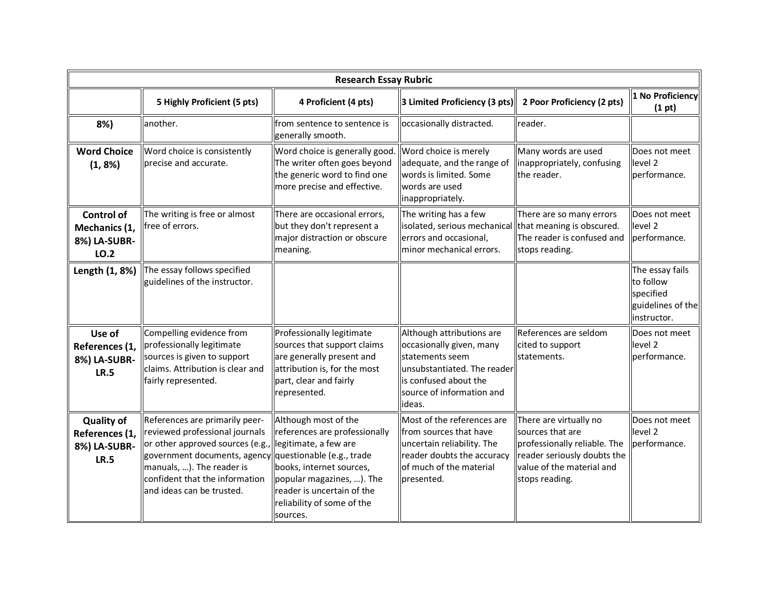| <b>Research Essay Rubric</b>                                       |                                                                                                                                                                                                                                                               |                                                                                                                                                                                                                 |                                                                                                                                                                          |                                                                                                                                                          |                                                                               |  |  |
|--------------------------------------------------------------------|---------------------------------------------------------------------------------------------------------------------------------------------------------------------------------------------------------------------------------------------------------------|-----------------------------------------------------------------------------------------------------------------------------------------------------------------------------------------------------------------|--------------------------------------------------------------------------------------------------------------------------------------------------------------------------|----------------------------------------------------------------------------------------------------------------------------------------------------------|-------------------------------------------------------------------------------|--|--|
|                                                                    | 5 Highly Proficient (5 pts)                                                                                                                                                                                                                                   | 4 Proficient (4 pts)                                                                                                                                                                                            | 3 Limited Proficiency (3 pts)                                                                                                                                            | 2 Poor Proficiency (2 pts)                                                                                                                               | 1 No Proficiency<br>(1 pt)                                                    |  |  |
| 8%)                                                                | lanother.                                                                                                                                                                                                                                                     | from sentence to sentence is<br>generally smooth.                                                                                                                                                               | occasionally distracted.                                                                                                                                                 | reader.                                                                                                                                                  |                                                                               |  |  |
| <b>Word Choice</b><br>$(1, 8\%)$                                   | Word choice is consistently<br>Iprecise and accurate.                                                                                                                                                                                                         | Word choice is generally good.<br>The writer often goes beyond<br>the generic word to find one<br>more precise and effective.                                                                                   | Word choice is merely<br>adequate, and the range of<br>words is limited. Some<br>words are used<br>inappropriately.                                                      | Many words are used<br>inappropriately, confusing<br>the reader.                                                                                         | Does not meet<br>level 2<br>performance.                                      |  |  |
| <b>Control of</b><br>Mechanics (1,<br>8%) LA-SUBR-<br>LO.2         | The writing is free or almost<br>lfree of errors.                                                                                                                                                                                                             | There are occasional errors,<br>but they don't represent a<br>major distraction or obscure<br>meaning.                                                                                                          | The writing has a few<br>isolated, serious mechanical that meaning is obscured.<br>errors and occasional,<br>minor mechanical errors.                                    | There are so many errors<br>The reader is confused and<br>stops reading.                                                                                 | Does not meet<br>level <sub>2</sub><br>performance.                           |  |  |
| Length (1, 8%)                                                     | The essay follows specified<br>guidelines of the instructor.                                                                                                                                                                                                  |                                                                                                                                                                                                                 |                                                                                                                                                                          |                                                                                                                                                          | The essay fails<br>to follow<br>specified<br>guidelines of the<br>instructor. |  |  |
| Use of<br>References (1,<br>8%) LA-SUBR-<br><b>LR.5</b>            | Compelling evidence from<br>professionally legitimate<br>sources is given to support<br>claims. Attribution is clear and<br>fairly represented.                                                                                                               | Professionally legitimate<br>sources that support claims<br>are generally present and<br>attribution is, for the most<br>part, clear and fairly<br>represented.                                                 | Although attributions are<br>occasionally given, many<br>lstatements seem<br>unsubstantiated. The reader<br>is confused about the<br>source of information and<br>ideas. | References are seldom<br>cited to support<br>statements.                                                                                                 | Does not meet<br>level 2<br>llperformance.                                    |  |  |
| <b>Quality of</b><br>References (1,<br>8%) LA-SUBR-<br><b>LR.5</b> | References are primarily peer-<br>reviewed professional journals<br>or other approved sources (e.g.<br>  government documents, agency  questionable (e.g., trade<br>manuals, ). The reader is<br>confident that the information<br>land ideas can be trusted. | Although most of the<br>references are professionally<br>legitimate, a few are<br>books, internet sources,<br>popular magazines, ). The<br>reader is uncertain of the<br>reliability of some of the<br>sources. | Most of the references are<br>from sources that have<br>uncertain reliability. The<br>reader doubts the accuracy<br>of much of the material<br>presented.                | There are virtually no<br>sources that are<br>professionally reliable. The<br>reader seriously doubts the<br>value of the material and<br>stops reading. | Does not meet<br>level <sub>2</sub><br>performance.                           |  |  |